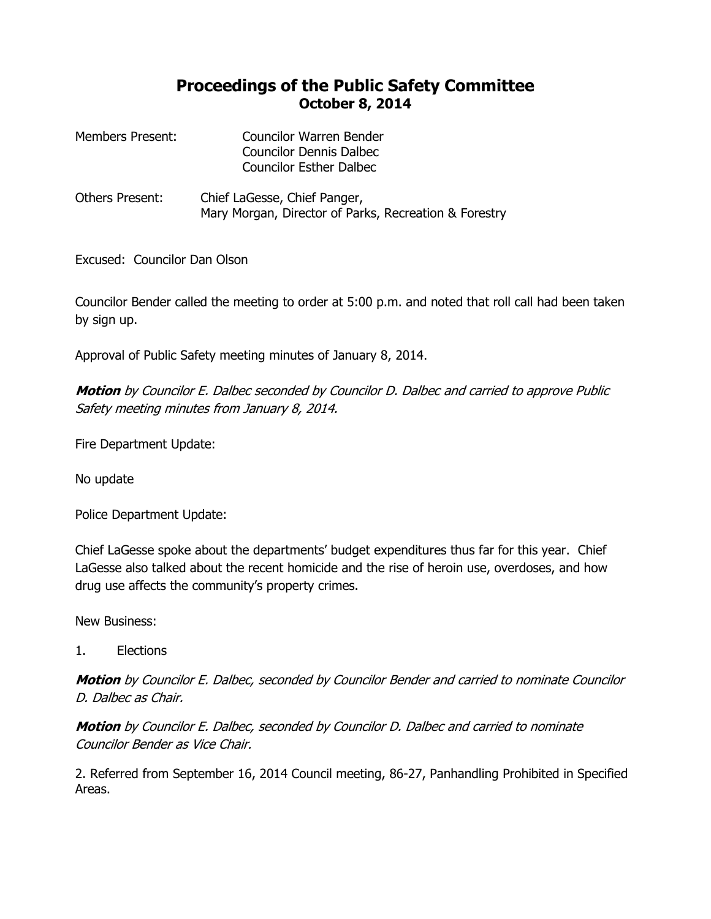## **Proceedings of the Public Safety Committee October 8, 2014**

| Members Present: | Councilor Warren Bender        |
|------------------|--------------------------------|
|                  | <b>Councilor Dennis Dalbec</b> |
|                  | <b>Councilor Esther Dalbec</b> |

Others Present: Chief LaGesse, Chief Panger, Mary Morgan, Director of Parks, Recreation & Forestry

Excused: Councilor Dan Olson

Councilor Bender called the meeting to order at 5:00 p.m. and noted that roll call had been taken by sign up.

Approval of Public Safety meeting minutes of January 8, 2014.

**Motion** by Councilor E. Dalbec seconded by Councilor D. Dalbec and carried to approve Public Safety meeting minutes from January 8, 2014.

Fire Department Update:

No update

Police Department Update:

Chief LaGesse spoke about the departments' budget expenditures thus far for this year. Chief LaGesse also talked about the recent homicide and the rise of heroin use, overdoses, and how drug use affects the community's property crimes.

New Business:

1. Elections

**Motion** by Councilor E. Dalbec, seconded by Councilor Bender and carried to nominate Councilor D. Dalbec as Chair.

**Motion** by Councilor E. Dalbec, seconded by Councilor D. Dalbec and carried to nominate Councilor Bender as Vice Chair.

2. Referred from September 16, 2014 Council meeting, 86-27, Panhandling Prohibited in Specified Areas.